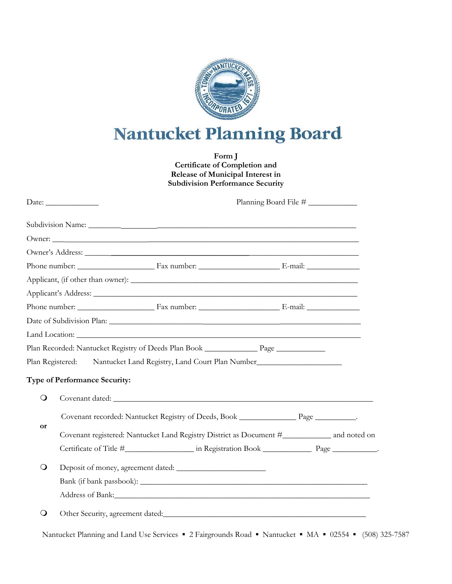

## Nantucket Planning Board

**Form J Certificate of Completion and Release of Municipal Interest in Subdivision Performance Security**

|                             | Date: $\_\_$<br>Planning Board File # |                                                                                               |  |  |  |  |  |
|-----------------------------|---------------------------------------|-----------------------------------------------------------------------------------------------|--|--|--|--|--|
|                             |                                       |                                                                                               |  |  |  |  |  |
|                             |                                       |                                                                                               |  |  |  |  |  |
|                             |                                       |                                                                                               |  |  |  |  |  |
|                             |                                       |                                                                                               |  |  |  |  |  |
|                             |                                       |                                                                                               |  |  |  |  |  |
|                             |                                       |                                                                                               |  |  |  |  |  |
|                             |                                       |                                                                                               |  |  |  |  |  |
|                             |                                       |                                                                                               |  |  |  |  |  |
|                             |                                       |                                                                                               |  |  |  |  |  |
|                             |                                       |                                                                                               |  |  |  |  |  |
|                             |                                       | Plan Registered: Nantucket Land Registry, Land Court Plan Number                              |  |  |  |  |  |
|                             | <b>Type of Performance Security:</b>  |                                                                                               |  |  |  |  |  |
| $\circ$                     |                                       |                                                                                               |  |  |  |  |  |
|                             |                                       | Covenant recorded: Nantucket Registry of Deeds, Book _________________________________.       |  |  |  |  |  |
| or<br>$\circ$<br>$\bigcirc$ |                                       | Covenant registered: Nantucket Land Registry District as Document #_____________ and noted on |  |  |  |  |  |
|                             |                                       |                                                                                               |  |  |  |  |  |
|                             |                                       |                                                                                               |  |  |  |  |  |
|                             |                                       |                                                                                               |  |  |  |  |  |
|                             |                                       |                                                                                               |  |  |  |  |  |
|                             |                                       |                                                                                               |  |  |  |  |  |
|                             |                                       |                                                                                               |  |  |  |  |  |